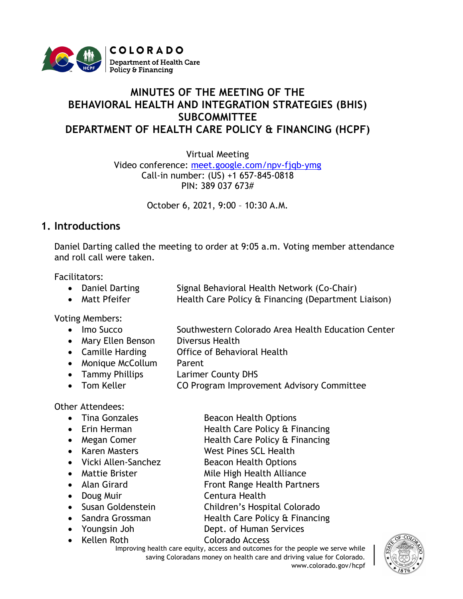

# **MINUTES OF THE MEETING OF THE BEHAVIORAL HEALTH AND INTEGRATION STRATEGIES (BHIS) SUBCOMMITTEE DEPARTMENT OF HEALTH CARE POLICY & FINANCING (HCPF)**

Virtual Meeting

Video conference: [meet.google.com/npv-fjqb-ymg](https://cohcpf.sharepoint.com/sites/HPO/HPSS/ProgramMgmt/Stakeholder%20Engagement/Behavioral%20Health%20and%20Integration%20Strategies/Meetings/October%202021/meet.google.com/npv-fjqb-ymg) Call-in number: (US) +1 657-845-0818 PIN: 389 037 673#

October 6, 2021, 9:00 – 10:30 A.M.

## **1. Introductions**

Daniel Darting called the meeting to order at 9:05 a.m. Voting member attendance and roll call were taken.

Facilitators:

|  | • Daniel Darting | Signal Behavioral Health Network (Co-Chair) |
|--|------------------|---------------------------------------------|
|--|------------------|---------------------------------------------|

• Matt Pfeifer Health Care Policy & Financing (Department Liaison)

Voting Members:

- Imo Succo Southwestern Colorado Area Health Education Center
- Mary Ellen Benson Diversus Health
- Camille Harding **Office of Behavioral Health**
- Monique McCollum Parent
- Tammy Phillips Larimer County DHS
- Tom Keller **CO Program Improvement Advisory Committee**

Other Attendees:

- 
- 
- 
- 
- 
- 
- 
- 
- 
- 
- 
- 
- Tina Gonzales Beacon Health Options
- Erin Herman Health Care Policy & Financing
- Megan Comer Health Care Policy & Financing
- Karen Masters West Pines SCL Health
- Vicki Allen-Sanchez Beacon Health Options
- Mattie Brister Mile High Health Alliance
- Alan Girard **Front Range Health Partners**
- Doug Muir **Centura Health**
- Susan Goldenstein Children's Hospital Colorado
- Sandra Grossman Health Care Policy & Financing
- Youngsin Joh Dept. of Human Services • Kellen Roth Colorado Access
	- Improving health care equity, access and outcomes for the people we serve while saving Coloradans money on health care and driving value for Colorado. www.colorado.gov/hcpf

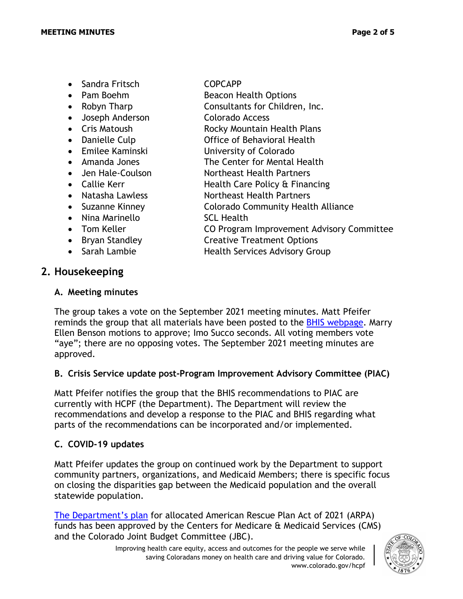- Sandra Fritsch COPCAPP
- 
- 
- Joseph Anderson Colorado Access
- 
- 
- Emilee Kaminski **Iniversity of Colorado**
- 
- 
- 
- 
- 
- 
- 
- 
- 

## **2. Housekeeping**

#### **A. Meeting minutes**

- 
- Pam Boehm Beacon Health Options
- Robyn Tharp Consultants for Children, Inc.
	-
- Cris Matoush **Rocky Mountain Health Plans**
- Danielle Culp **Office of Behavioral Health** 
	-
- Amanda Jones The Center for Mental Health
- Jen Hale-Coulson Northeast Health Partners
- Callie Kerr **Health Care Policy & Financing**
- Natasha Lawless Northeast Health Partners
- Suzanne Kinney **Colorado Community Health Alliance**
- Nina Marinello SCL Health
- Tom Keller **CO Program Improvement Advisory Committee**
- Bryan Standley **Creative Treatment Options**
- Sarah Lambie Health Services Advisory Group
- The group takes a vote on the September 2021 meeting minutes. Matt Pfeifer reminds the group that all materials have been posted to the [BHIS webpage.](https://hcpf.colorado.gov/behavioral-health-and-integration-strategies-subcommittee) Marry Ellen Benson motions to approve; Imo Succo seconds. All voting members vote "aye"; there are no opposing votes. The September 2021 meeting minutes are approved.

### **B. Crisis Service update post-Program Improvement Advisory Committee (PIAC)**

Matt Pfeifer notifies the group that the BHIS recommendations to PIAC are currently with HCPF (the Department). The Department will review the recommendations and develop a response to the PIAC and BHIS regarding what parts of the recommendations can be incorporated and/or implemented.

### **C. COVID-19 updates**

Matt Pfeifer updates the group on continued work by the Department to support community partners, organizations, and Medicaid Members; there is specific focus on closing the disparities gap between the Medicaid population and the overall statewide population.

[The Department's plan](https://hcpf.colorado.gov/arpa) for allocated American Rescue Plan Act of 2021 (ARPA) funds has been approved by the Centers for Medicare & Medicaid Services (CMS) and the Colorado Joint Budget Committee (JBC).

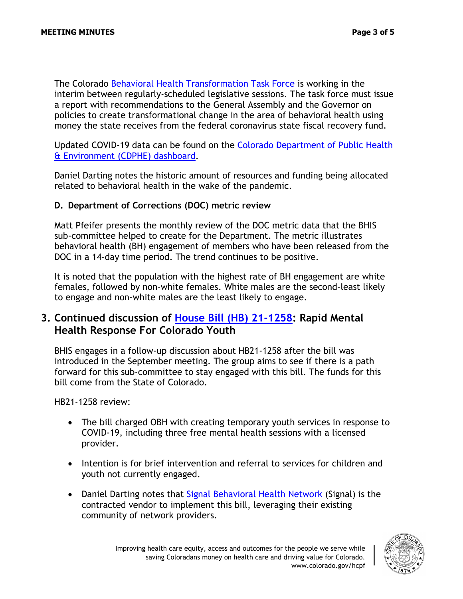The Colorado [Behavioral Health Transformation Task Force](https://leg.colorado.gov/committees/behavioral-health-transformational-task-force/2021-regular-session) is working in the interim between regularly-scheduled legislative sessions. The task force must issue a report with recommendations to the General Assembly and the Governor on policies to create transformational change in the area of behavioral health using money the state receives from the federal coronavirus state fiscal recovery fund.

Updated COVID-19 data can be found on the [Colorado Department of Public Health](https://covid19.colorado.gov/data)  [& Environment](https://covid19.colorado.gov/data) (CDPHE) dashboard.

Daniel Darting notes the historic amount of resources and funding being allocated related to behavioral health in the wake of the pandemic.

#### **D. Department of Corrections (DOC) metric review**

Matt Pfeifer presents the monthly review of the DOC metric data that the BHIS sub-committee helped to create for the Department. The metric illustrates behavioral health (BH) engagement of members who have been released from the DOC in a 14-day time period. The trend continues to be positive.

It is noted that the population with the highest rate of BH engagement are white females, followed by non-white females. White males are the second-least likely to engage and non-white males are the least likely to engage.

### **3. Continued discussion of [House Bill \(HB\) 21-1258:](https://leg.colorado.gov/bills/hb21-1258) Rapid Mental Health Response For Colorado Youth**

BHIS engages in a follow-up discussion about HB21-1258 after the bill was introduced in the September meeting. The group aims to see if there is a path forward for this sub-committee to stay engaged with this bill. The funds for this bill come from the State of Colorado.

HB21-1258 review:

- The bill charged OBH with creating temporary youth services in response to COVID-19, including three free mental health sessions with a licensed provider.
- Intention is for brief intervention and referral to services for children and youth not currently engaged.
- Daniel Darting notes that [Signal Behavioral Health Network](https://signalbhn.org/) (Signal) is the contracted vendor to implement this bill, leveraging their existing community of network providers.

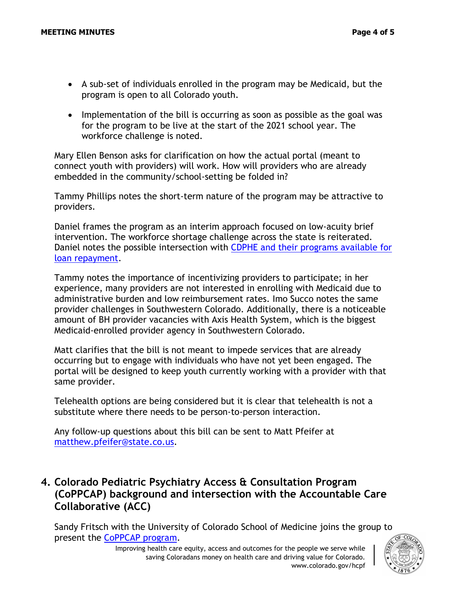- A sub-set of individuals enrolled in the program may be Medicaid, but the program is open to all Colorado youth.
- Implementation of the bill is occurring as soon as possible as the goal was for the program to be live at the start of the 2021 school year. The workforce challenge is noted.

Mary Ellen Benson asks for clarification on how the actual portal (meant to connect youth with providers) will work. How will providers who are already embedded in the community/school-setting be folded in?

Tammy Phillips notes the short-term nature of the program may be attractive to providers.

Daniel frames the program as an interim approach focused on low-acuity brief intervention. The workforce shortage challenge across the state is reiterated. Daniel notes the possible intersection with [CDPHE and their programs available for](https://cdphe.colorado.gov/prevention-and-wellness/health-access/health-professional-loan-repayment)  [loan repayment.](https://cdphe.colorado.gov/prevention-and-wellness/health-access/health-professional-loan-repayment)

Tammy notes the importance of incentivizing providers to participate; in her experience, many providers are not interested in enrolling with Medicaid due to administrative burden and low reimbursement rates. Imo Succo notes the same provider challenges in Southwestern Colorado. Additionally, there is a noticeable amount of BH provider vacancies with Axis Health System, which is the biggest Medicaid-enrolled provider agency in Southwestern Colorado.

Matt clarifies that the bill is not meant to impede services that are already occurring but to engage with individuals who have not yet been engaged. The portal will be designed to keep youth currently working with a provider with that same provider.

Telehealth options are being considered but it is clear that telehealth is not a substitute where there needs to be person-to-person interaction.

Any follow-up questions about this bill can be sent to Matt Pfeifer at [matthew.pfeifer@state.co.us.](mailto:matthew.pfeifer@state.co.us)

# **4. Colorado Pediatric Psychiatry Access & Consultation Program (CoPPCAP) background and intersection with the Accountable Care Collaborative (ACC)**

Sandy Fritsch with the University of Colorado School of Medicine joins the group to present the [CoPPCAP program.](https://www.coppcap.org/about)